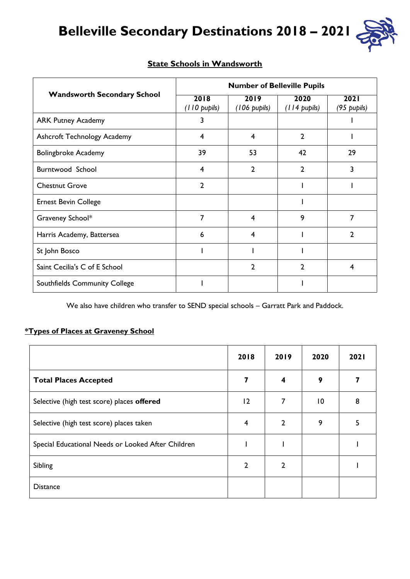# **Belleville Secondary Destinations 2018 – 2021**



|                                    | <b>Number of Belleville Pupils</b> |                                |                        |                     |  |  |  |  |  |  |
|------------------------------------|------------------------------------|--------------------------------|------------------------|---------------------|--|--|--|--|--|--|
| <b>Wandsworth Secondary School</b> | 2018<br>$(110 \text{ pupils})$     | 2019<br>$(106 \text{ pupils})$ | 2020<br>$(114$ pupils) | 2021<br>(95 pupils) |  |  |  |  |  |  |
| <b>ARK Putney Academy</b>          | 3                                  |                                |                        |                     |  |  |  |  |  |  |
| Ashcroft Technology Academy        | 4                                  | 4                              | $\mathbf{2}$           |                     |  |  |  |  |  |  |
| <b>Bolingbroke Academy</b>         | 39                                 | 53                             | 42                     | 29                  |  |  |  |  |  |  |
| Burntwood School                   | 4                                  | $\overline{2}$                 | $\mathbf{c}$           | 3                   |  |  |  |  |  |  |
| <b>Chestnut Grove</b>              | $\overline{2}$                     |                                |                        |                     |  |  |  |  |  |  |
| <b>Ernest Bevin College</b>        |                                    |                                |                        |                     |  |  |  |  |  |  |
| Graveney School*                   | 7                                  | 4                              | 9                      | 7                   |  |  |  |  |  |  |
| Harris Academy, Battersea          | 6                                  | 4                              |                        | $\mathcal{P}$       |  |  |  |  |  |  |
| St John Bosco                      |                                    |                                |                        |                     |  |  |  |  |  |  |
| Saint Cecilia's C of E School      |                                    | 2                              | 2                      | 4                   |  |  |  |  |  |  |
| Southfields Community College      |                                    |                                |                        |                     |  |  |  |  |  |  |

#### **State Schools in Wandsworth**

We also have children who transfer to SEND special schools – Garratt Park and Paddock.

## **\*Types of Places at Graveney School**

|                                                    | 2018           | 2019           | 2020            | 2021 |
|----------------------------------------------------|----------------|----------------|-----------------|------|
| <b>Total Places Accepted</b>                       | 7              | 4              | 9               |      |
| Selective (high test score) places offered         | 12             | 7              | $\overline{10}$ | 8    |
| Selective (high test score) places taken           | 4              | $\overline{2}$ | 9               | 5    |
| Special Educational Needs or Looked After Children |                |                |                 |      |
| Sibling                                            | $\mathfrak{p}$ | $\mathcal{P}$  |                 |      |
| <b>Distance</b>                                    |                |                |                 |      |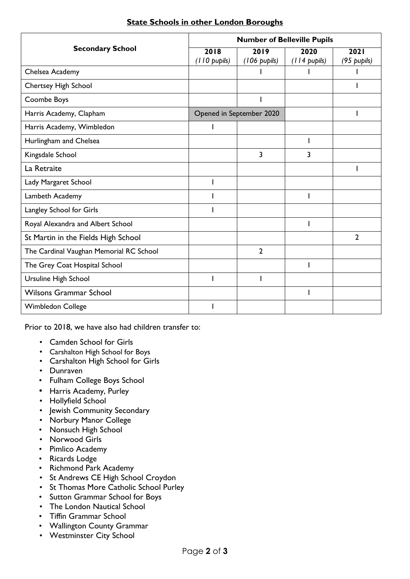|                                         | <b>Number of Belleville Pupils</b> |                          |                      |                     |  |  |  |  |  |  |
|-----------------------------------------|------------------------------------|--------------------------|----------------------|---------------------|--|--|--|--|--|--|
| <b>Secondary School</b>                 | 2018<br>(110 pupils)               | 2019<br>(106 pupils)     | 2020<br>(114 pupils) | 2021<br>(95 pupils) |  |  |  |  |  |  |
| Chelsea Academy                         |                                    |                          |                      |                     |  |  |  |  |  |  |
| <b>Chertsey High School</b>             |                                    |                          |                      |                     |  |  |  |  |  |  |
| Coombe Boys                             |                                    |                          |                      |                     |  |  |  |  |  |  |
| Harris Academy, Clapham                 |                                    | Opened in September 2020 |                      |                     |  |  |  |  |  |  |
| Harris Academy, Wimbledon               |                                    |                          |                      |                     |  |  |  |  |  |  |
| Hurlingham and Chelsea                  |                                    |                          |                      |                     |  |  |  |  |  |  |
| Kingsdale School                        |                                    | 3                        | 3                    |                     |  |  |  |  |  |  |
| La Retraite                             |                                    |                          |                      |                     |  |  |  |  |  |  |
| Lady Margaret School                    |                                    |                          |                      |                     |  |  |  |  |  |  |
| Lambeth Academy                         |                                    |                          |                      |                     |  |  |  |  |  |  |
| Langley School for Girls                |                                    |                          |                      |                     |  |  |  |  |  |  |
| Royal Alexandra and Albert School       |                                    |                          |                      |                     |  |  |  |  |  |  |
| St Martin in the Fields High School     |                                    |                          |                      | $\overline{2}$      |  |  |  |  |  |  |
| The Cardinal Vaughan Memorial RC School |                                    | $\overline{2}$           |                      |                     |  |  |  |  |  |  |
| The Grey Coat Hospital School           |                                    |                          |                      |                     |  |  |  |  |  |  |
| Ursuline High School                    |                                    |                          |                      |                     |  |  |  |  |  |  |
| <b>Wilsons Grammar School</b>           |                                    |                          |                      |                     |  |  |  |  |  |  |
| <b>Wimbledon College</b>                |                                    |                          |                      |                     |  |  |  |  |  |  |

## **State Schools in other London Boroughs**

Prior to 2018, we have also had children transfer to:

- Camden School for Girls
- Carshalton High School for Boys
- Carshalton High School for Girls
- Dunraven
- Fulham College Boys School
- Harris Academy, Purley
- Hollyfield School
- Jewish Community Secondary
- Norbury Manor College
- Nonsuch High School
- Norwood Girls
- Pimlico Academy
- Ricards Lodge
- Richmond Park Academy
- St Andrews CE High School Croydon
- St Thomas More Catholic School Purley
- Sutton Grammar School for Boys
- The London Nautical School
- Tiffin Grammar School
- Wallington County Grammar
- Westminster City School